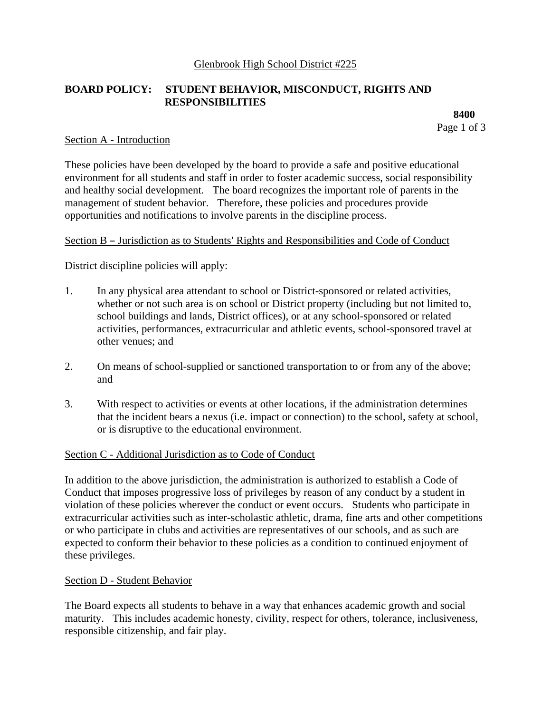## Glenbrook High School District #225

# **BOARD POLICY: STUDENT BEHAVIOR, MISCONDUCT, RIGHTS AND RESPONSIBILITIES**

**8400** Page 1 of 3

## Section A - Introduction

These policies have been developed by the board to provide a safe and positive educational environment for all students and staff in order to foster academic success, social responsibility and healthy social development. The board recognizes the important role of parents in the management of student behavior. Therefore, these policies and procedures provide opportunities and notifications to involve parents in the discipline process.

## Section B - Jurisdiction as to Students' Rights and Responsibilities and Code of Conduct

District discipline policies will apply:

- 1. In any physical area attendant to school or District-sponsored or related activities, whether or not such area is on school or District property (including but not limited to, school buildings and lands, District offices), or at any school-sponsored or related activities, performances, extracurricular and athletic events, school-sponsored travel at other venues; and
- 2. On means of school-supplied or sanctioned transportation to or from any of the above; and
- 3. With respect to activities or events at other locations, if the administration determines that the incident bears a nexus (i.e. impact or connection) to the school, safety at school, or is disruptive to the educational environment.

#### Section C - Additional Jurisdiction as to Code of Conduct

In addition to the above jurisdiction, the administration is authorized to establish a Code of Conduct that imposes progressive loss of privileges by reason of any conduct by a student in violation of these policies wherever the conduct or event occurs. Students who participate in extracurricular activities such as inter-scholastic athletic, drama, fine arts and other competitions or who participate in clubs and activities are representatives of our schools, and as such are expected to conform their behavior to these policies as a condition to continued enjoyment of these privileges.

#### Section D - Student Behavior

The Board expects all students to behave in a way that enhances academic growth and social maturity. This includes academic honesty, civility, respect for others, tolerance, inclusiveness, responsible citizenship, and fair play.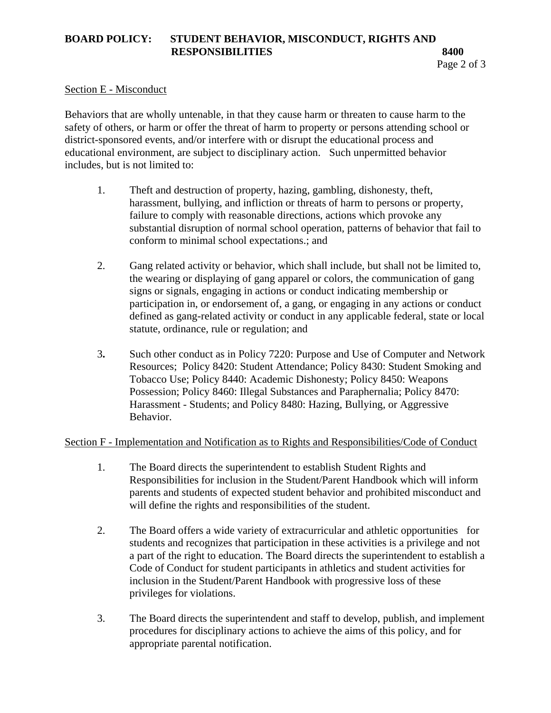# **BOARD POLICY: STUDENT BEHAVIOR, MISCONDUCT, RIGHTS AND RESPONSIBILITIES** 8400

## Section E - Misconduct

Behaviors that are wholly untenable, in that they cause harm or threaten to cause harm to the safety of others, or harm or offer the threat of harm to property or persons attending school or district-sponsored events, and/or interfere with or disrupt the educational process and educational environment, are subject to disciplinary action. Such unpermitted behavior includes, but is not limited to:

- 1. Theft and destruction of property, hazing, gambling, dishonesty, theft, harassment, bullying, and infliction or threats of harm to persons or property, failure to comply with reasonable directions, actions which provoke any substantial disruption of normal school operation, patterns of behavior that fail to conform to minimal school expectations.; and
- 2. Gang related activity or behavior, which shall include, but shall not be limited to, the wearing or displaying of gang apparel or colors, the communication of gang signs or signals, engaging in actions or conduct indicating membership or participation in, or endorsement of, a gang, or engaging in any actions or conduct defined as gang-related activity or conduct in any applicable federal, state or local statute, ordinance, rule or regulation; and
- 3**.** Such other conduct as in Policy 7220: Purpose and Use of Computer and Network Resources; Policy 8420: Student Attendance; Policy 8430: Student Smoking and Tobacco Use; Policy 8440: Academic Dishonesty; Policy 8450: Weapons Possession; Policy 8460: Illegal Substances and Paraphernalia; Policy 8470: Harassment - Students; and Policy 8480: Hazing, Bullying, or Aggressive Behavior.

## Section F - Implementation and Notification as to Rights and Responsibilities/Code of Conduct

- 1. The Board directs the superintendent to establish Student Rights and Responsibilities for inclusion in the Student/Parent Handbook which will inform parents and students of expected student behavior and prohibited misconduct and will define the rights and responsibilities of the student.
- 2. The Board offers a wide variety of extracurricular and athletic opportunities for students and recognizes that participation in these activities is a privilege and not a part of the right to education. The Board directs the superintendent to establish a Code of Conduct for student participants in athletics and student activities for inclusion in the Student/Parent Handbook with progressive loss of these privileges for violations.
- 3. The Board directs the superintendent and staff to develop, publish, and implement procedures for disciplinary actions to achieve the aims of this policy, and for appropriate parental notification.